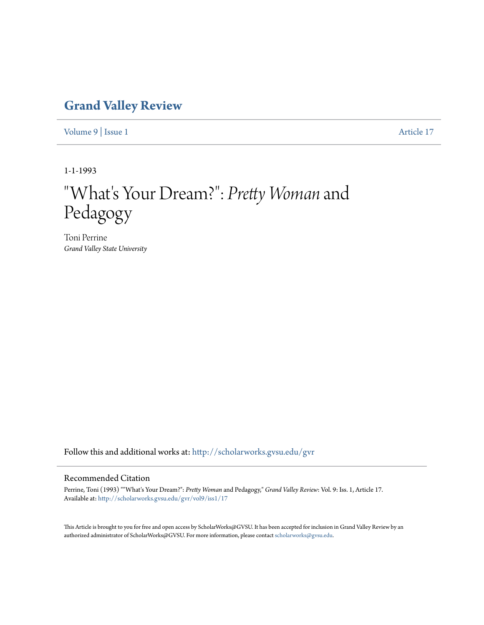## **[Grand Valley Review](http://scholarworks.gvsu.edu/gvr?utm_source=scholarworks.gvsu.edu%2Fgvr%2Fvol9%2Fiss1%2F17&utm_medium=PDF&utm_campaign=PDFCoverPages)**

[Volume 9](http://scholarworks.gvsu.edu/gvr/vol9?utm_source=scholarworks.gvsu.edu%2Fgvr%2Fvol9%2Fiss1%2F17&utm_medium=PDF&utm_campaign=PDFCoverPages) | [Issue 1](http://scholarworks.gvsu.edu/gvr/vol9/iss1?utm_source=scholarworks.gvsu.edu%2Fgvr%2Fvol9%2Fiss1%2F17&utm_medium=PDF&utm_campaign=PDFCoverPages) [Article 17](http://scholarworks.gvsu.edu/gvr/vol9/iss1/17?utm_source=scholarworks.gvsu.edu%2Fgvr%2Fvol9%2Fiss1%2F17&utm_medium=PDF&utm_campaign=PDFCoverPages)

1-1-1993

# "What's Your Dream?": *Pretty Woman* and Pedagogy

Toni Perrine *Grand Valley State University*

Follow this and additional works at: [http://scholarworks.gvsu.edu/gvr](http://scholarworks.gvsu.edu/gvr?utm_source=scholarworks.gvsu.edu%2Fgvr%2Fvol9%2Fiss1%2F17&utm_medium=PDF&utm_campaign=PDFCoverPages)

#### Recommended Citation

Perrine, Toni (1993) ""What's Your Dream?": *Pretty Woman* and Pedagogy," *Grand Valley Review*: Vol. 9: Iss. 1, Article 17. Available at: [http://scholarworks.gvsu.edu/gvr/vol9/iss1/17](http://scholarworks.gvsu.edu/gvr/vol9/iss1/17?utm_source=scholarworks.gvsu.edu%2Fgvr%2Fvol9%2Fiss1%2F17&utm_medium=PDF&utm_campaign=PDFCoverPages)

This Article is brought to you for free and open access by ScholarWorks@GVSU. It has been accepted for inclusion in Grand Valley Review by an authorized administrator of ScholarWorks@GVSU. For more information, please contact [scholarworks@gvsu.edu.](mailto:scholarworks@gvsu.edu)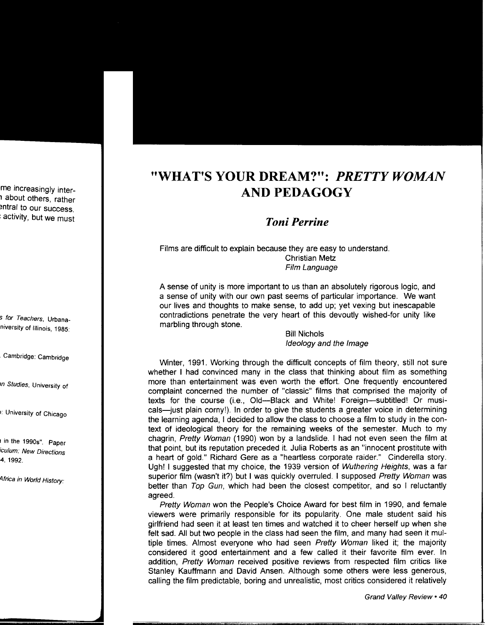## **''WHAT'S YOUR DREAM?'':** *PRETTY WOMAN*  **AND PEDAGOGY**

### *Toni Perrine*

Films are difficult to explain because they are easy to understand. Christian Metz Film Language

A sense of unity is more important to us than an absolutely rigorous logic, and a sense of unity with our own past seems of particular importance. We want our lives and thoughts to make sense, to add up; yet vexing but inescapable contradictions penetrate the very heart of this devoutly wished-for unity like marbling through stone.

> Bill Nichols Ideology and the Image

Winter, 1991. Working through the difficult concepts of film theory, still not sure whether I had convinced many in the class that thinking about film as something more than entertainment was even worth the effort. One frequently encountered complaint concerned the number of "classic" films that comprised the majority of texts for the course (i.e., Old---Black and White! Foreign---subtitled! Or musicals-just plain corny!). In order to give the students a greater voice in determining the learning agenda, I decided to allow the class to choose a film to study in the context of ideological theory for the remaining weeks of the semester. Much to my chagrin, Pretty Woman (1990) won by a landslide. I had not even seen the film at that point, but its reputation preceded it. Julia Roberts as an "innocent prostitute with a heart of gold." Richard Gere as a "heartless corporate raider." Cinderella story. Ugh! I suggested that my choice, the 1939 version of Wuthering Heights, was a far superior film (wasn't it?) but I was quickly overruled. I supposed Pretty Woman was better than Top Gun, which had been the closest competitor, and so I reluctantly agreed.

Pretty Woman won the People's Choice Award for best film in 1990, and female viewers were primarily responsible for its popularity. One male student said his girlfriend had seen it at least ten times and watched it to cheer herself up when she felt sad. All but two people in the class had seen the film, and many had seen it multiple times. Almost everyone who had seen Pretty Woman liked it; the majority considered it good entertainment and a few called it their favorite film ever. In addition, Pretty Woman received positive reviews from respected film critics like Stanley Kauffmann and David Ansen. Although some others were less generous, calling the film predictable, boring and unrealistic, most critics considered it relatively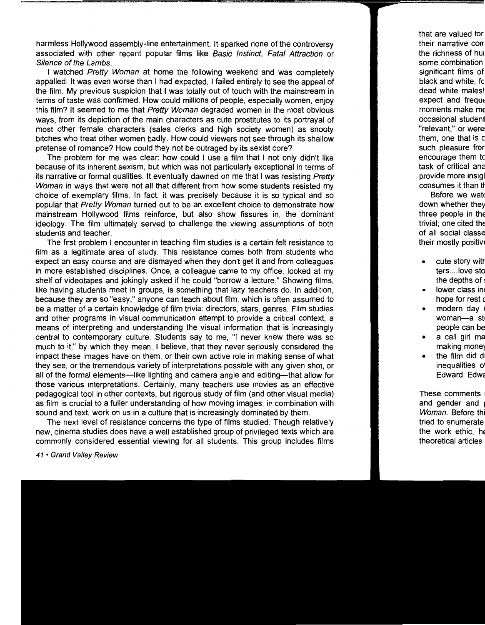harmless Hollywood assembly-line entertainment. It sparked none of the controversy associated with other recent popular films like Basic Instinct, Fatal Attraction or Silence of the Lambs.

I watched Pretty Woman at home the following weekend and was completely appalled. It was even worse than I had expected. I failed entirely to see the appeal of the film. My previous suspicion that I was totally out of touch with the mainstream in terms of taste was confirmed. How could millions of people, especially women, enjoy this film? It seemed to me that Pretty Woman degraded women in the most obvious ways, from its depiction of the main characters as cute prostitutes to its portrayal of most other female characters (sales clerks and high society women) as snooty bitches who treat other women badly. How could viewers not see through its shallow pretense of romance? How could they not be outraged by its sexist core?

The problem for me was clear: how could I use a film that I not only didn't like because of its inherent sexism, but which was not particularly exceptional in terms of its narrative or formal qualities. It eventually dawned on me that I was resisting Pretty Woman in ways that were not all that different from how some students resisted my choice of exemplary films. In fact, it was precisely because it is so typical and so popular that Pretty Woman turned out to be an excellent choice to demonstrate how mainstream Hollywood films reinforce, but also show fissures in, the dominant ideology. The film ultimately served to challenge the viewing assumptions of both students and teacher.

The first problem I encounter in teaching film studies is a certain felt resistance to film as a legitimate area of study. This resistance comes both from students who expect an easy course and are dismayed when they don't get it and from colleagues in more established disciplines. Once, a colleague came to my office, looked at my shelf of videotapes and jokingly asked if he could "borrow a lecture." Showing films, like having students meet in groups, is something that lazy teachers do. In addition, because they are so "easy," anyone can teach about film, which is often assumed to be a matter of a certain knowledge of film trivia: directors, stars, genres. Film studies and other programs in visual communication attempt to provide a critical context, a means of interpreting and understanding the visual information that is increasingly central to contemporary culture. Students say to me, "I never knew there was so much to it," by which they mean, I believe, that they never seriously considered the impact these images have on them, or their own active role in making sense of what they see, or the tremendous variety of interpretations possible with any given shot, or all of the formal elements—like lighting and camera angle and editing—that allow for those various interpretations. Certainly, many teachers use movies as an effective pedagogical tool in other contexts, but rigorous study of film (and other visual media) as film is crucial to a fuller understanding of how moving images, in combination with sound and text, work on us in a culture that is increasingly dominated by them.

The next level of resistance concerns the type of films studied. Though relatively new, cinema studies does have a well established group of privileged texts which are commonly considered essential viewing for all students. This group includes films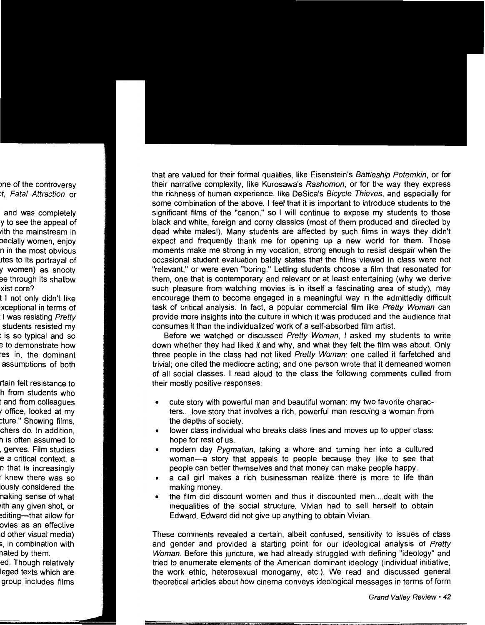that are valued for their formal qualities, like Eisenstein's Battleship Potemkin, or for their narrative complexity, like Kurosawa's Rashomon, or for the way they express the richness of human experience, like DeSica's Bicycle Thieves, and especially for some combination of the above. I feel that it is important to introduce students to the significant films of the "canon," so I will continue to expose my students to those black and white, foreign and corny classics (most of them produced and directed by dead white males!). Many students are affected by such films in ways they didn't expect and frequently thank me for opening up a new world for them. Those moments make me strong in my vocation, strong enough to resist despair when the occasional student evaluation baldly states that the films viewed in class were not "relevant," or were even "boring." Letting students choose a film that resonated for them, one that is contemporary and relevant or at least entertaining (why we derive such pleasure from watching movies is in itself a fascinating area of study), may encourage them to become engaged in a meaningful way in the admittedly difficult task of critical analysis. In fact, a popular commercial film like Pretty Woman can provide more insights into the culture in which it was produced and the audience that consumes it than the individualized work of a self-absorbed film artist.

Before we watched or discussed Pretty Woman, I asked my students to write down whether they had liked it and why, and what they felt the film was about. Only three people in the class had not liked Pretty Woman: one called it farfetched and trivial; one cited the mediocre acting; and one person wrote that it demeaned women of all social classes. I read aloud to the class the following comments culled from their mostly positive responses:

- cute story with powerful man and beautiful woman: my two favorite characters .... love story that involves a rich, powerful man rescuing a woman from the depths of society.
- lower class individual who breaks class lines and moves up to upper class: hope for rest of us.
- modern day *Pygmalian*, taking a whore and turning her into a cultured woman-a story that appeals to people because they like to see that people can better themselves and that money can make people happy.
- a call girl makes a rich businessman realize there is more to life than making money.
- the film did discount women and thus it discounted men .... dealt with the inequalities of the social structure. Vivian had to sell herself to obtain Edward. Edward did not give up anything to obtain Vivian.

These comments revealed a certain, albeit confused, sensitivity to issues of class and gender and provided a starting point for our ideological analysis of Pretty Woman. Before this juncture, we had already struggled with defining "ideology" and tried to enumerate elements of the American dominant ideology (individual initiative, the work ethic, heterosexual monogamy, etc.). We read and discussed general theoretical articles about how cinema conveys ideological messages in terms of form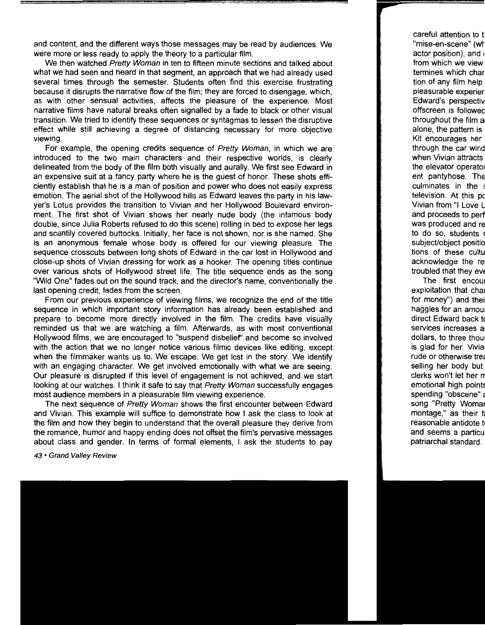and content, and the different ways those messages may be read by audiences. We were more or less ready to apply the theory to a particular film.

We then watched Pretty Woman in ten to fifteen minute sections and talked about what we had seen and heard in that segment, an approach that we had already used several times through the semester. Students often find this exercise frustrating because it disrupts the narrative flow of the film; they are forced to disengage, which, as with other sensual activities, affects the pleasure of the experience. Most narrative films have natural breaks often signalled by a fade to black or other visual transition. We tried to identify these sequences or syntagmas to lessen the disruptive effect while still achieving a degree of distancing necessary for more objective viewing.

For example, the opening credits sequence of Pretty Woman, in which we are introduced to the two main characters and their respective worlds, is clearly delineated from the body of the film both visually and aurally. We first see Edward in an expensive suit at a fancy party where he is the guest of honor. These shots efficiently establish that he is a man of position and power who does not easily express emotion. The aerial shot of the Hollywood hills as Edward leaves the party in his lawyer's Lotus provides the transition to Vivian and her Hollywood Boulevard environment. The first shot of Vivian shows her nearly nude body (the infamous body double, since Julia Roberts refused to do this scene) rolling in bed to expose her legs and scantily covered buttocks. Initially, her face is not shown, nor is she named. She is an anonymous female whose body is offered for our viewing pleasure. The sequence crosscuts between long shots of Edward in the car lost in Hollywood and close-up shots of Vivian dressing for work as a hooker. The opening titles continue over various shots of Hollywood street life. The title sequence ends as the song "Wild One" fades out on the sound track, and the director's name, conventionally the last opening credit, fades from the screen.

From our previous experience of viewing films, we recognize the end of the title sequence in which important story information has already been established and prepare to become more directly involved in the film. The credits have visually reminded us that we are watching a film. Afterwards, as with most conventional Hollywood films, we are encouraged to "suspend disbelief' and become so involved with the action that we no longer notice various filmic devices like editing, except when the filmmaker wants us to. We escape. We get lost in the story. We identify with an engaging character. We get involved emotionally with what we are seeing. Our pleasure is disrupted if this level of engagement is not achieved, and we start looking at our watches. I think it safe to say that Pretty Woman successfully engages most audience members in a pleasurable film viewing experience.

The next sequence of Pretty Woman shows the first encounter between Edward and Vivian. This example will suffice to demonstrate how I ask the class to look at the film and how they begin to understand that the overall pleasure they derive from the romance, humor and happy ending does not offset the film's pervasive messages about class and gender. In terms of formal elements, I ask the students to pay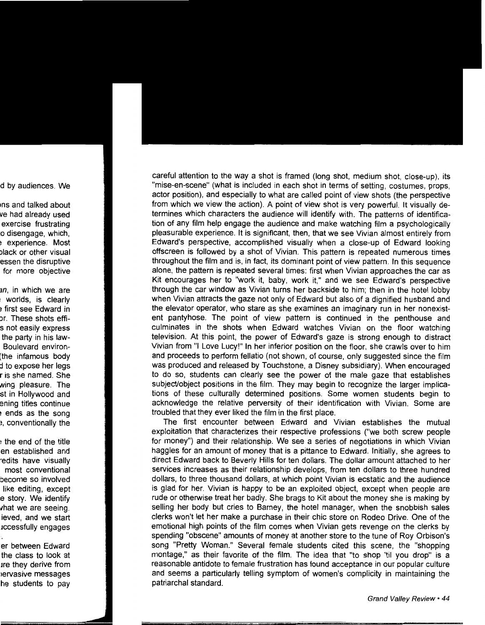careful attention to the way a shot is framed (long shot, medium shot, close-up), its "mise-en-scene" (what is included in each shot in terms of setting, costumes, props, actor position), and especially to what are called point of view shots (the perspective from which we view the action). A point of view shot is very powerful. It visually determines which characters the audience will identify with. The patterns of identification of any film help engage the audience and make watching film a psychologically pleasurable experience. It is significant, then, that we see Vivian almost entirely from Edward's perspective, accomplished visually when a close-up of Edward looking offscreen is followed by a shot of Vivian. This pattern is repeated numerous times throughout the film and is, in fact, its dominant point of view pattern. In this sequence alone, the pattern is repeated several times: first when Vivian approaches the car as Kit encourages her to "work it, baby, work it," and we see Edward's perspective through the car window as Vivian turns her backside to him; then in the hotel lobby when Vivian attracts the gaze not only of Edward but also of a dignified husband and the elevator operator, who stare as she examines an imaginary run in her nonexistent pantyhose. The point of view pattern is continued in the penthouse and culminates in the shots when Edward watches Vivian on the floor watching television. At this point, the power of Edward's gaze is strong enough to distract Vivian from "I Love Lucy!" In her inferior position on the floor, she crawls over to him and proceeds to perform fellatio (not shown, of course, only suggested since the film was produced and released by Touchstone, a Disney subsidiary). When encouraged to do so, students can clearly see the power of the male gaze that establishes subject/object positions in the film. They may begin to recognize the larger implications of these culturally determined positions. Some women students begin to acknowledge the relative perversity of their identification with Vivian. Some are troubled that they ever liked the film in the first place.

The first encounter between Edward and Vivian establishes the mutual exploitation that characterizes their respective professions ("we both screw people for money") and their relationship. We see a series of negotiations in which Vivian haggles for an amount of money that is a pittance to Edward. Initially, she agrees to direct Edward back to Beverly Hills for ten dollars. The dollar amount attached to her services increases as their relationship develops, from ten dollars to three hundred dollars, to three thousand dollars, at which point Vivian is ecstatic and the audience is glad for her. Vivian is happy to be an exploited object, except when people are rude or otherwise treat her badly. She brags to Kit about the money she is making by selling her body but cries to Barney, the hotel manager, when the snobbish sales clerks won't let her make a purchase in their chic store on Rodeo Drive. One of the emotional high points of the film comes when Vivian gets revenge on the clerks by spending "obscene" amounts of money at another store to the tune of Roy Orbison's song "Pretty Woman." Several female students cited this scene, the "shopping montage," as their favorite of the film. The idea that "to shop 'til you drop" is a reasonable antidote to female frustration has found acceptance in our popular culture and seems a particularly telling symptom of women's complicity in maintaining the patriarchal standard.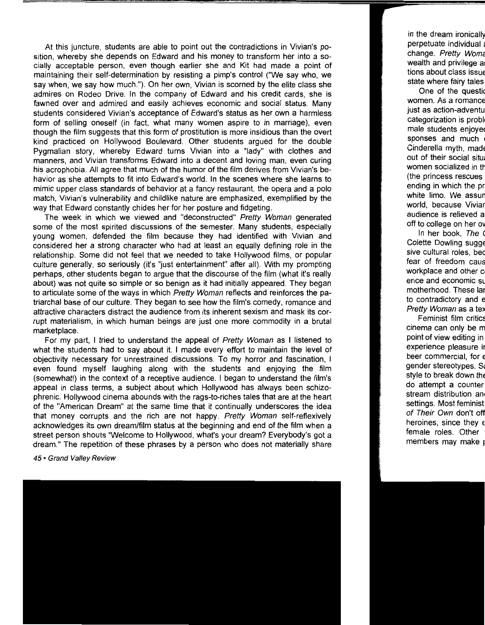At this juncture, students are able to point out the contradictions in Vivian's position, whereby she depends on Edward and his money to transform her into a socially acceptable person, even though earlier she and Kit had made a point of maintaining their self-determination by resisting a pimp's control ("We say who, we say when, we say how much."). On her own, Vivian is scorned by the elite class she admires on Rodeo Drive. In the company of Edward and his credit cards, she is fawned over and admired and easily achieves economic and social status. Many students considered Vivian's acceptance of Edward's status as her own a harmless form of selling oneself (in fact, what many women aspire to in marriage), even though the film suggests that this form of prostitution is more insidious than the overt kind practiced on Hollywood Boulevard. Other students argued for the double Pygmalian story, whereby Edward turns Vivian into a "lady" with clothes and manners, and Vivian transforms Edward into a decent and loving man, even curing his acrophobia. All agree that much of the humor of the film derives from Vivian's behavior as she attempts to fit into Edward's world. In the scenes where she learns to mimic upper class standards of behavior at a fancy restaurant, the opera and a polo match, Vivian's vulnerability and childlike nature are emphasized, exemplified by the way that Edward constantly chides her for her posture and fidgeting.

The week in which we viewed and "deconstructed" Pretty Woman generated some of the most spirited discussions of the semester. Many students, especially young women, defended the film because they had identified with Vivian and considered her a strong character who had at least an equally defining role in the relationship. Some did not feel that we needed to take Hollywood films, or popular culture generally, so seriously (it's "just entertainment" after all). With my prompting perhaps, other students began to argue that the discourse of the film (what it's really about) was not quite so simple or so benign as it had initially appeared. They began to articulate some of the ways in which Pretty Woman reflects and reinforces the patriarchal base of our culture. They began to see how the film's comedy, romance and attractive characters distract the audience from its inherent sexism and mask its corrupt materialism, in which human beings are just one more commodity in a brutal marketplace.

For my part, I tried to understand the appeal of Pretty Woman as I listened to what the students had to say about it. I made every effort to maintain the level of objectivity necessary for unrestrained discussions. To my horror and fascination, I even found myself laughing along with the students and enjoying the film (somewhat!) in the context of a receptive audience. I began to understand the film's appeal in class terms, a subject about which Hollywood has always been schizophrenic. Hollywood cinema abounds with the rags-to-riches tales that are at the heart of the "American Dream" at the same time that it continually underscores the idea that money corrupts and the rich are not happy. Pretty Woman self-reflexively acknowledges its own dream/film status at the beginning and end of the film when a street person shouts "Welcome to Hollywood, what's your dream? Everybody's got a dream." The repetition of these phrases by a person who does not materially share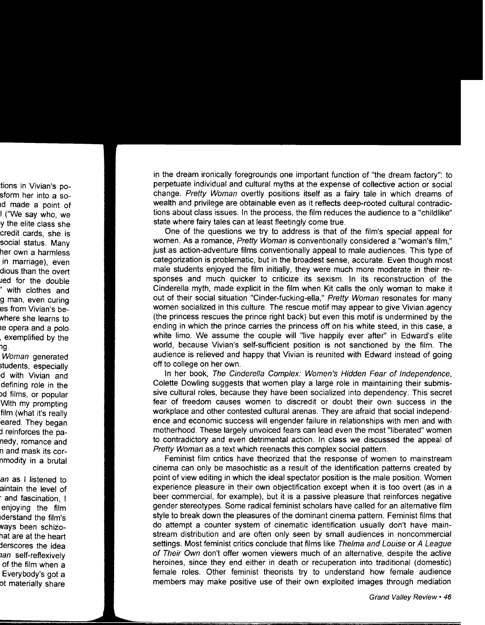in the dream ironically foregrounds one important function of "the dream factory": to perpetuate individual and cultural myths at the expense of collective action or social change. Pretty Woman overtly positions itself as a fairy tale in which dreams of wealth and privilege are obtainable even as it reflects deep-rooted cultural contradictions about class issues. In the process, the film reduces the audience to a "childlike" state where fairy tales can at least fleetingly come true.

One of the questions we try to address is that of the film's special appeal for women. As a romance, Pretty Woman is conventionally considered a "woman's film." iust as action-adventure films conventionally appeal to male audiences. This type of categorization is problematic, but in the broadest sense, accurate. Even though most male students enjoyed the film initially, they were much more moderate in their responses and much quicker to criticize its sexism. In its reconstruction of the Cinderella myth, made explicit in the film when Kit calls the only woman to make it out of their social situation "Cinder-fucking-ella," Pretty Woman resonates for many women socialized in this culture. The rescue motif may appear to give Vivian agency (the princess rescues the prince right back) but even this motif is undermined by the ending in which the prince carries the princess off on his white steed, in this case, a white limo. We assume the couple will "live happily ever after" in Edward's elite world, because Vivian's self-sufficient position is not sanctioned by the film. The audience is relieved and happy that Vivian is reunited with Edward instead of going off to college on her own.

In her book, The Cinderella Complex: Women's Hidden Fear of Independence, Colette Dowling suggests that women play a large role in maintaining their submissive cultural roles, because they have been socialized into dependency. This secret fear of freedom causes women to discredit or doubt their own success in the workplace and other contested cultural arenas. They are afraid that social independence and economic success will engender failure in relationships with men and with motherhood. These largely unvoiced fears can lead even the most "liberated" women to contradictory and even detrimental action. In class we discussed the appeal of Pretty Woman as a text which reenacts this complex social pattern.

Feminist film critics have theorized that the response of women to mainstream cinema can only be masochistic as a result of the identification patterns created by point of view editing in which the ideal spectator position is the male position. Women experience pleasure in their own objectification except when it is too overt (as in a beer commercial, for example), but it is a passive pleasure that reinforces negative gender stereotypes. Some radical feminist scholars have called for an alternative film style to break down the pleasures of the dominant cinema pattern. Feminist films that do attempt a counter system of cinematic identification usually don't have mainstream distribution and are often only seen by small audiences in noncommercial settings. Most feminist critics conclude that films like Thelma and Louise or A League of Their Own don't offer women viewers much of an alternative, despite the active heroines, since they end either in death or recuperation into traditional (domestic) female roles. Other feminist theorists try to understand how female audience members may make positive use of their own exploited images through mediation